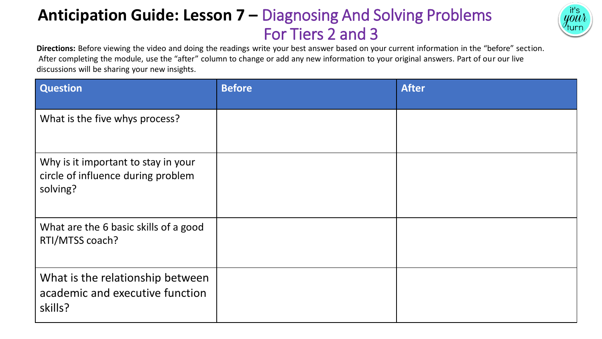# **Anticipation Guide: Lesson 7 –** Diagnosing And Solving Problems For Tiers 2 and 3



**Directions:** Before viewing the video and doing the readings write your best answer based on your current information in the "before" section. After completing the module, use the "after" column to change or add any new information to your original answers. Part of our our live discussions will be sharing your new insights.

| <b>Question</b>                                                                       | <b>Before</b> | <b>After</b> |
|---------------------------------------------------------------------------------------|---------------|--------------|
| What is the five whys process?                                                        |               |              |
| Why is it important to stay in your<br>circle of influence during problem<br>solving? |               |              |
| What are the 6 basic skills of a good<br>RTI/MTSS coach?                              |               |              |
| What is the relationship between<br>academic and executive function<br>skills?        |               |              |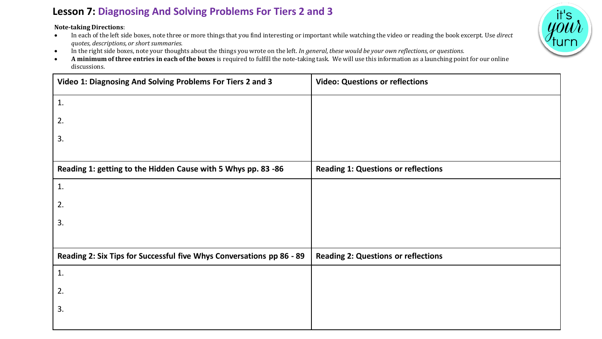### **Lesson 7: Diagnosing And Solving Problems For Tiers 2 and 3**

**Note-taking Directions**:

- In each of the left side boxes, note three or more things that you find interesting or important while watching the video or reading the book excerpt. Use *direct quotes, descriptions, or short summaries.*
- In the right side boxes, note your thoughts about the things you wrote on the left. *In general, these would be your own reflections, or questions.*
- **A minimum of three entries in each of the boxes** is required to fulfill the note-taking task. We will use this information as a launching point for our online discussions.

| Video 1: Diagnosing And Solving Problems For Tiers 2 and 3            | <b>Video: Questions or reflections</b>     |
|-----------------------------------------------------------------------|--------------------------------------------|
| 1.                                                                    |                                            |
| 2.                                                                    |                                            |
| 3.                                                                    |                                            |
|                                                                       |                                            |
| Reading 1: getting to the Hidden Cause with 5 Whys pp. 83 -86         | <b>Reading 1: Questions or reflections</b> |
| 1.                                                                    |                                            |
| 2.                                                                    |                                            |
| 3.                                                                    |                                            |
|                                                                       |                                            |
| Reading 2: Six Tips for Successful five Whys Conversations pp 86 - 89 | <b>Reading 2: Questions or reflections</b> |
| 1.                                                                    |                                            |
| 2.                                                                    |                                            |
| 3.                                                                    |                                            |
|                                                                       |                                            |

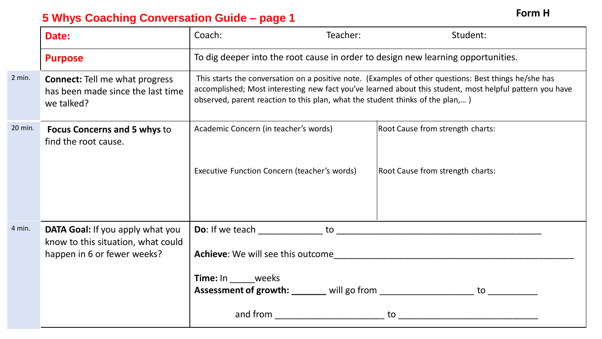### **5 Whys Coaching Conversation Guide – page 1 Form H**

**Date:** Teacher: Coach: Teacher: Student: **Purpose** To dig deeper into the root cause in order to design new learning opportunities. **Connect:** Tell me what progress has been made since the last time we talked? This starts the conversation on a positive note. (Examples of other questions: Best things he/she has accomplished; Most interesting new fact you've learned about this student, most helpful pattern you have observed, parent reaction to this plan, what the student thinks of the plan,… ) **Focus Concerns and 5 whys** to find the root cause. Academic Concern (in teacher's words) Root Cause from strength charts: Executive Function Concern (teacher's words) Root Cause from strength charts: **DATA Goal:** If you apply what you know to this situation, what could happen in 6 or fewer weeks? **Do**: If we teach to to a state of the state of the state of the state of the state of the state of the state of the state of the state of the state of the state of the state of the state of the state of the state of the s **Achieve**: We will see this outcome\_\_\_\_\_\_\_\_\_\_\_\_\_\_\_\_\_\_\_\_\_\_\_\_\_\_\_\_\_\_\_\_\_\_\_\_\_\_\_\_\_\_\_\_\_\_\_\_ **Time:** In weeks **Assessment of growth: \_\_\_\_\_\_\_** will go from \_\_\_\_\_\_\_\_\_\_\_\_\_\_\_\_\_\_\_\_\_\_\_ to \_\_\_\_\_\_\_\_ and from \_\_\_\_\_\_\_\_\_\_\_\_\_\_\_\_\_\_\_\_\_\_ to \_\_\_\_\_\_\_\_\_\_\_\_\_\_\_\_\_\_\_\_\_\_\_\_\_\_\_\_ 2 min. 20 min. 4 min.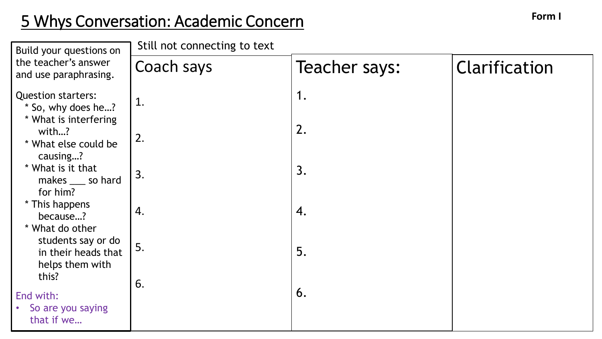## **Form I** 5 Whys Conversation: Academic Concern

Coach says 1. 2. 3. 4. 5. 6. Teacher says: 1. 2. 3. 4. 5. 6. Clarification Build your questions on the teacher's answer and use paraphrasing. Question starters: \* So, why does he…? \* What is interfering with…? \* What else could be causing…? \* What is it that makes \_\_\_ so hard for him? \* This happens because…? \* What do other students say or do in their heads that helps them with this? End with: • So are you saying that if we… Still not connecting to text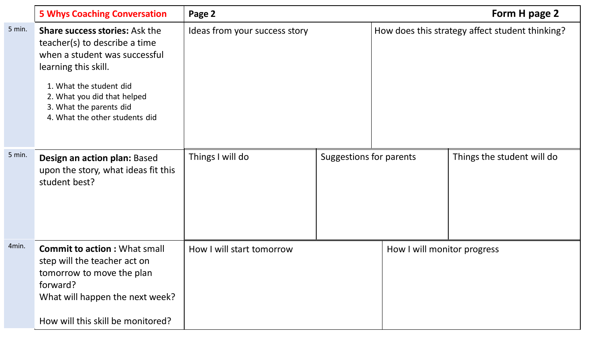|        | <b>5 Whys Coaching Conversation</b>                                                                                                                                                                                                                    | Page 2                        |                         |                             | Form H page 2                                   |
|--------|--------------------------------------------------------------------------------------------------------------------------------------------------------------------------------------------------------------------------------------------------------|-------------------------------|-------------------------|-----------------------------|-------------------------------------------------|
| 5 min. | <b>Share success stories: Ask the</b><br>teacher(s) to describe a time<br>when a student was successful<br>learning this skill.<br>1. What the student did<br>2. What you did that helped<br>3. What the parents did<br>4. What the other students did | Ideas from your success story |                         |                             | How does this strategy affect student thinking? |
| 5 min. | Design an action plan: Based<br>upon the story, what ideas fit this<br>student best?                                                                                                                                                                   | Things I will do              | Suggestions for parents |                             | Things the student will do                      |
| 4min.  | <b>Commit to action: What small</b><br>step will the teacher act on<br>tomorrow to move the plan<br>forward?<br>What will happen the next week?<br>How will this skill be monitored?                                                                   | How I will start tomorrow     |                         | How I will monitor progress |                                                 |